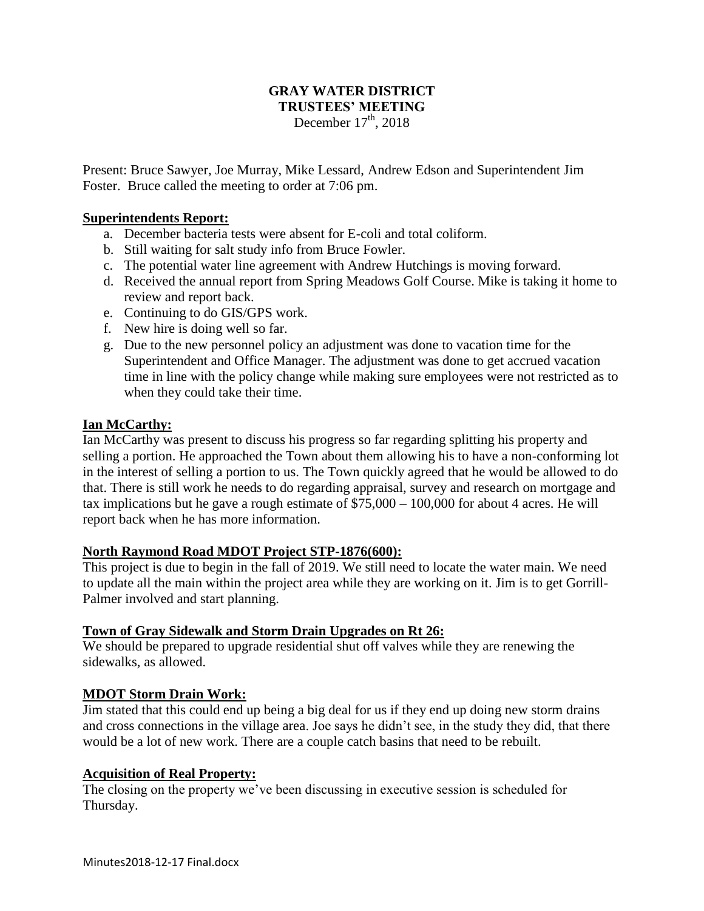## **GRAY WATER DISTRICT TRUSTEES' MEETING** December  $17<sup>th</sup>$ , 2018

Present: Bruce Sawyer, Joe Murray, Mike Lessard, Andrew Edson and Superintendent Jim Foster. Bruce called the meeting to order at 7:06 pm.

## **Superintendents Report:**

- a. December bacteria tests were absent for E-coli and total coliform.
- b. Still waiting for salt study info from Bruce Fowler.
- c. The potential water line agreement with Andrew Hutchings is moving forward.
- d. Received the annual report from Spring Meadows Golf Course. Mike is taking it home to review and report back.
- e. Continuing to do GIS/GPS work.
- f. New hire is doing well so far.
- g. Due to the new personnel policy an adjustment was done to vacation time for the Superintendent and Office Manager. The adjustment was done to get accrued vacation time in line with the policy change while making sure employees were not restricted as to when they could take their time.

#### **Ian McCarthy:**

Ian McCarthy was present to discuss his progress so far regarding splitting his property and selling a portion. He approached the Town about them allowing his to have a non-conforming lot in the interest of selling a portion to us. The Town quickly agreed that he would be allowed to do that. There is still work he needs to do regarding appraisal, survey and research on mortgage and tax implications but he gave a rough estimate of \$75,000 – 100,000 for about 4 acres. He will report back when he has more information.

## **North Raymond Road MDOT Project STP-1876(600):**

This project is due to begin in the fall of 2019. We still need to locate the water main. We need to update all the main within the project area while they are working on it. Jim is to get Gorrill-Palmer involved and start planning.

## **Town of Gray Sidewalk and Storm Drain Upgrades on Rt 26:**

We should be prepared to upgrade residential shut off valves while they are renewing the sidewalks, as allowed.

#### **MDOT Storm Drain Work:**

Jim stated that this could end up being a big deal for us if they end up doing new storm drains and cross connections in the village area. Joe says he didn't see, in the study they did, that there would be a lot of new work. There are a couple catch basins that need to be rebuilt.

#### **Acquisition of Real Property:**

The closing on the property we've been discussing in executive session is scheduled for Thursday.